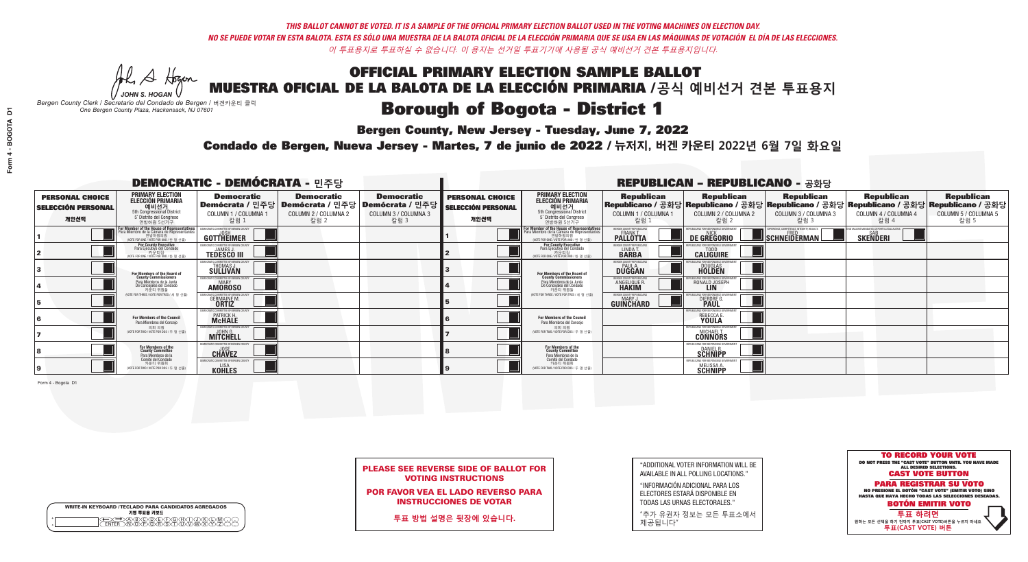**Bergen County, New Jersey - Tuesday, June 7, 2022** 

A Hogen *JOHN S. HOGAN*

|         | <b>WRITE-IN KEYBOARD /TECLADO PARA CANDIDATOS AGREGADOS</b><br>기명 투표용 키보드 |
|---------|---------------------------------------------------------------------------|
| ٥       | )(B)C)(D)(E)(F)(G)(H)(                                                    |
| $\circ$ | <u>፝ዀ፝</u> ፙዂጞጞዂ                                                          |

*Bergen County Clerk / Secretario del Condado de Bergen /* 버겐카운티 클럭 *One Bergen County Plaza, Hackensack, NJ 07601*



| <b>PLEASE SEE REVERSE SIDE OF BALLOT FOR</b> |  |
|----------------------------------------------|--|
| <b>VOTING INSTRUCTIONS</b>                   |  |

POR FAVOR VEA EL LADO REVERSO PARA INSTRUCCIONES DE VOTAR

**투표 방법 설명은 뒷장에 있습니다.**

"ADDITIONAL VOTER INFORMATION WILL BE AVAILABLE IN ALL POLLING LOCATIONS."

"INFORMACIÓN ADICIONAL PARA LOS ELECTORES ESTARÁ DISPONIBLE EN TODAS LAS URNAS ELECTORALES."

"추가 유권자 정보는 모든 투표소에서 제공됩니다"

Condado de Bergen, Nueva Jersey - Martes, 7 de junio de 2022 / 뉴저지, 버겐 카운티 2022년 6월 7일 화요일 *One Bergen County Plaza, Hackensack, NJ 07601*

|                                                             |                                                                                                                                             | <b>DEMOCRATIC - DEMÓCRATA - 민주당</b>                                                                    |                                                   |                                                   | <b>REPUBLICAN - REPUBLICANO - 공화당</b>                       |                                                                                                                                              |                                                               |                                                        |                                                                                                                                                |                                                   |                                                   |
|-------------------------------------------------------------|---------------------------------------------------------------------------------------------------------------------------------------------|--------------------------------------------------------------------------------------------------------|---------------------------------------------------|---------------------------------------------------|-------------------------------------------------------------|----------------------------------------------------------------------------------------------------------------------------------------------|---------------------------------------------------------------|--------------------------------------------------------|------------------------------------------------------------------------------------------------------------------------------------------------|---------------------------------------------------|---------------------------------------------------|
| <b>PERSONAL CHOICE</b><br><b>SELECCIÓN PERSONAL</b><br>개인선택 | <b>PRIMARY ELECTION</b><br><b>ELECCIÓN PRIMARIA</b><br>예비선거<br>5th Congressional District<br>5° Distrito del Congreso<br>연방하원 5선거구          | <b>Democratic</b><br>│Demócrata / 민주당│Demócrata / 민주당│Demócrata / 민주당│<br>COLUMN 1 / COLUMNA 1<br>칼럼 1 | <b>Democratic</b><br>COLUMN 2 / COLUMNA 2<br>칼럼 2 | <b>Democratic</b><br>COLUMN 3 / COLUMNA 3<br>칼럼 3 | <b>PERSONAL CHOICE</b><br><b>SELECCIÓN PERSONAL</b><br>개인선택 | <b>PRIMARY ELECTION</b><br>ELECCIÓN PRIMARIA<br>5th Congressional District<br>5° Distrito del Congreso<br>연방하원 5선거구                          | <b>Republican</b><br>COLUMN 1 / COLUMNA 1<br>칼럼 :             | <b>Republican</b><br>COLUMN 2 / COLUMNA 2<br>칼럼 2      | <b>Republican</b><br>Republicano / 공화당 Republicano / 공화당 Republicano / 공화당 Republicano / 공화당 Republicano / 공화당<br>COLUMN 3 / COLUMNA 3<br>칼럼 3 | <b>Republican</b><br>COLUMN 4 / COLUMNA 4<br>칼럼 4 | <b>Republican</b><br>COLUMN 5 / COLUMNA 5<br>칼럼 5 |
|                                                             | For Member of the House of Representatives<br>Para Miembro de la Cámara de Representantes<br>연방하원의원<br>(VOTE FOR ONE / VOTE POR UNO / 한명선출) | <b>GOTTHEIMER</b>                                                                                      |                                                   |                                                   |                                                             | For Member of the House of Representatives<br>Para Miembro de la Cámara de Representantes<br>엔망아원의원<br>(VOTE FOR ONE / VOTE POR UNO / 한 명 선출 | ERGEN COUNTY REPUBLICAN<br><b>PALLOTTA</b>                    | DE GREGORIO                                            | SCHNEIDERMAN                                                                                                                                   | <b>SKENDERI</b>                                   |                                                   |
|                                                             | For County Executive<br>Para Ejecutivo del Condado<br>가운티장<br>(VOTE FOR ONE / VOTE POR UNO / 한 명 선출)                                        | EMOCRATIC COMMITTEE OF BERGEN COUNT<br><b>TEDESCO III</b>                                              |                                                   |                                                   |                                                             | <b>For County Executive</b><br>Para Ejecutivo del Condado<br>카운티장<br>(VOTE FOR ONE / VOTE POR UNO / 한 명 선출                                   | BERGEN COUNTY REPUBLICAN<br>LINDA T.                          | <b>CALIGUIRE</b>                                       |                                                                                                                                                |                                                   |                                                   |
|                                                             | <b>For Members of the Board of<br/>County Commissioners</b>                                                                                 | MOCRATIC COMMITTEE OF BERGEN COUNTY<br>THOMAS J.                                                       |                                                   |                                                   |                                                             | For Members of the Board of<br>County Commissioners                                                                                          | ERGEN COUNTY REPUBLICAN<br><b>PAUL A.</b><br><b>DUGGAN</b>    | <b>DOUGLAS</b><br><b>HOLDEN</b>                        |                                                                                                                                                |                                                   |                                                   |
|                                                             | Para Miembros de la Junta<br>De Concejales del Condado<br>카우티 위원들                                                                           | <i><b>MOCRATIC COMMITTEE OF BERGEN COUNTY</b></i><br><b>AMOROSO</b>                                    |                                                   |                                                   |                                                             | Para Miembros de la Junta<br>De Concejales del Condado<br>카우티 위원들                                                                            | <b>RGEN COUNTY REPUBLICAN</b><br><b>ANGELIQUE R<br/>HAKIM</b> | RONALD JOSEPH                                          |                                                                                                                                                |                                                   |                                                   |
|                                                             | NOTE FOR THREE / VOTE POR TRES / 세 명 선출                                                                                                     | AATIC COMMITTEE OF BERGEN CI<br><b>GERMAINE M.</b>                                                     |                                                   |                                                   |                                                             | (VOTE FOR THREE / VOTE POR TRES / 세 명 선출)                                                                                                    | ERGEN COUNTY REPUBLICANS<br>MARY .I<br>GUINCHARD              | DIERDRE O                                              |                                                                                                                                                |                                                   |                                                   |
|                                                             | For Members of the Council<br>Para Miembros del Conceio                                                                                     | )CRATIC COMMITTEE OF BERGEN<br><b>PATRICK H.<br/>McHALE</b>                                            |                                                   |                                                   |                                                             | For Members of the Council<br>Para Miembros del Conceio                                                                                      |                                                               | REBECCA E.                                             |                                                                                                                                                |                                                   |                                                   |
|                                                             | 의회 의원<br>(VOTE FOR TWO / VOTE POR DOS / 두 명 선출)                                                                                             | EMOCRATIC COMMITTEE OF BERGEN COUNT<br><b>MITCHELL</b>                                                 |                                                   |                                                   |                                                             | 의회 의원<br>NOTE FOR TWO / VOTE POR DOS / 두 명 선출)                                                                                               |                                                               | EPUBLICANS FOR RESPONSIBLE GOVERNMEN<br><b>CONNORS</b> |                                                                                                                                                |                                                   |                                                   |
|                                                             | For Members of the<br>County Committee<br>Para Miembros de la                                                                               | <b>CHAVEZ</b>                                                                                          |                                                   |                                                   |                                                             | For Members of the<br>County Committee<br>Para Miembros de la<br>Comité del Condado                                                          |                                                               | EPUBLICANS FOR RESPONSIBLE G<br>DANIEL R.              |                                                                                                                                                |                                                   |                                                   |
|                                                             | Comité del Condado<br>카운티 위원회<br>(VOTE FOR TWO / VOTE POR DOS / 두 명 선출)                                                                     | <b>EMOCRATIC COMMITTEE OF REBGEN</b><br><b>KOHLES</b>                                                  |                                                   |                                                   |                                                             | 카운티 위원회<br>NOTE FOR TWO / VOTE POR DOS / 두 명 선출)                                                                                             |                                                               | PUBLICANS FOR RESPONSIBLE GO<br>MELISSA A.             |                                                                                                                                                |                                                   |                                                   |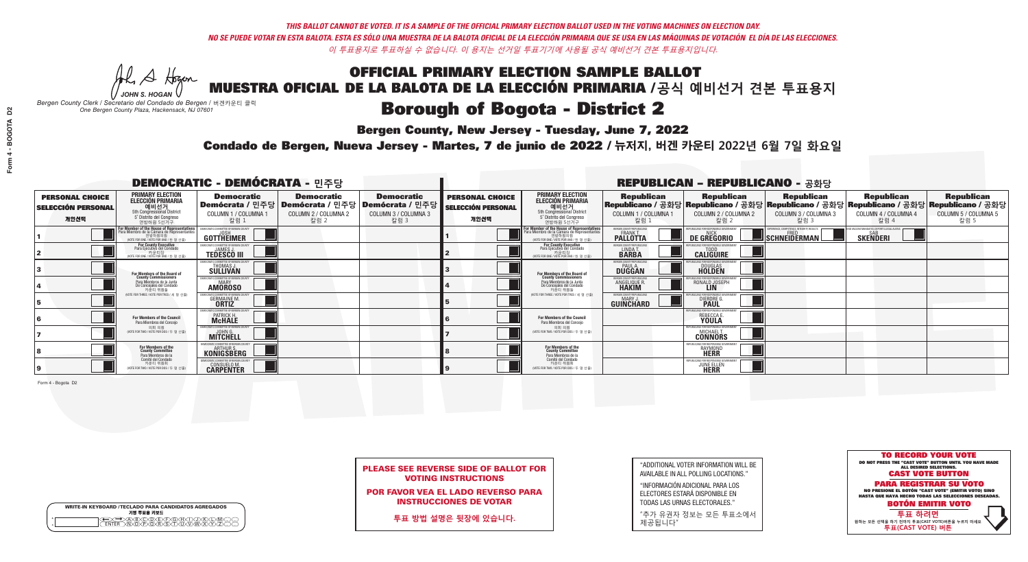**Bergen County, New Jersey - Tuesday, June 7, 2022** 

A Hogen *JOHN S. HOGAN*

|              | <b>WRITE-IN KEYBOARD /TECLADO PARA CANDIDATOS AGREGADOS</b><br>기명 투표용 키보드 |
|--------------|---------------------------------------------------------------------------|
| 0<br>$\circ$ | )®©®®®®®<br>b®®®®®©®®                                                     |

*Bergen County Clerk / Secretario del Condado de Bergen /* 버겐카운티 클럭 *One Bergen County Plaza, Hackensack, NJ 07601*



|  | <b>PLEASE SEE REVERSE SIDE OF BALLOT FOR</b> |  |  |
|--|----------------------------------------------|--|--|
|  | <b>VOTING INSTRUCTIONS</b>                   |  |  |

POR FAVOR VEA EL LADO REVERSO PARA INSTRUCCIONES DE VOTAR

**투표 방법 설명은 뒷장에 있습니다.**

| "ADDITIONAL VOTER INFORMATION WILL BE |
|---------------------------------------|
| AVAILABLE IN ALL POLLING LOCATIONS."  |

"INFORMACIÓN ADICIONAL PARA LOS ELECTORES ESTARÁ DISPONIBLE EN TODAS LAS URNAS ELECTORALES."

"추가 유권자 정보는 모든 투표소에서 제공됩니다"

Condado de Bergen, Nueva Jersey - Martes, 7 de junio de 2022 / 뉴저지, 버겐 카운티 2022년 6월 7일 화요일 *One Bergen County Plaza, Hackensack, NJ 07601*

|                                                             |                                                                                                                                                                 | <b>DEMOCRATIC - DEMÓCRATA - 민주당</b>                              |                                                   |                                                                                                        | <b>REPUBLICAN - REPUBLICANO - 공화당</b>                       |                                                                                                                                   |                                                              |                                                   |                                                                                                                                                 |                                                   |                                                   |
|-------------------------------------------------------------|-----------------------------------------------------------------------------------------------------------------------------------------------------------------|------------------------------------------------------------------|---------------------------------------------------|--------------------------------------------------------------------------------------------------------|-------------------------------------------------------------|-----------------------------------------------------------------------------------------------------------------------------------|--------------------------------------------------------------|---------------------------------------------------|-------------------------------------------------------------------------------------------------------------------------------------------------|---------------------------------------------------|---------------------------------------------------|
| <b>PERSONAL CHOICE</b><br><b>SELECCIÓN PERSONAL</b><br>개인선택 | <b>PRIMARY ELECTION</b><br><b>ELECCIÓN PRIMARIA</b><br>예비선거 5th Congressional District<br>5° Distrito del Congreso<br>연방하원 5선거구                                 | <b>Democratic</b><br>COLUMN 1 / COLUMNA 1<br>칼럼 :                | <b>Democratic</b><br>COLUMN 2 / COLUMNA 2<br>칼럼 2 | <b>Democratic</b><br>│Demócrata / 민주당│Demócrata / 민주당│Demócrata / 민주당┃<br>COLUMN 3 / COLUMNA 3<br>칼럼 3 | <b>PERSONAL CHOICE</b><br><b>SELECCIÓN PERSONAL</b><br>개인선택 | <b>PRIMARY ELECTION</b><br>ELECCIÓN PRIMARIA<br>5th Congressional District<br>5° Distrito del Congreso<br>연방하원 5선거구               | <b>Republican</b><br>COLUMN 1 / COLUMNA 1<br>칼럼              | <b>Republican</b><br>COLUMN 2 / COLUMNA 2<br>칼럼 2 | <b>Republican</b><br> Republicano / 공화당 Republicano / 공화당 Republicano / 공화당 Republicano / 공화당 Republicano / 공화당<br>COLUMN 3 / COLUMNA 3<br>칼럼 3 | <b>Republican</b><br>COLUMN 4 / COLUMNA 4<br>칼럼 4 | <b>Republican</b><br>COLUMN 5 / COLUMNA 5<br>칼럼 5 |
|                                                             | F <b>or Member of the House of Representatives</b><br>Para Miembro de la Cámara de Representantes<br>연방하원의원<br>연방하원의원<br>(WOTE FOR ONE / VOTE POR UNO / 한 명 선출) | <b>GOTTHEIMER</b>                                                |                                                   |                                                                                                        |                                                             | For Member of the House of Representatives<br>Para Miembro de la Cámara de Representantes<br>WOTE FOR ONE / VOTE POR UNO / 한 명 선출 | ERGEN COUNTY REPUBLICA<br><b>FRANK T.</b><br><b>PALLOTTA</b> | DE GREGORIO                                       | <b>SCHNEIDERMAN!</b>                                                                                                                            | <b>SKENDERI</b>                                   |                                                   |
|                                                             | For County Executive<br>Para Ejecutivo del Condado<br>가운티장<br>(VOTE FOR ONE / VOTE POR UNO / 한 명 선출)                                                            | <b>TEDESCO III</b>                                               |                                                   |                                                                                                        |                                                             | For County Executive<br>Para Ejecutivo del Condado<br>카운티장<br>VOTE FOR ONE / VOTE POR UNO / 한 명 선출                                | BERGEN COUNTY REPUBLICAN<br>LINDA T.                         | <b>CALIGUIRE</b>                                  |                                                                                                                                                 |                                                   |                                                   |
|                                                             | For Members of the Board of<br>County Commissioners                                                                                                             | MOCRATIC COMMITTEE OF BERGEN COUNT<br>THOMAS J.                  |                                                   |                                                                                                        |                                                             | For Members of the Board of<br>County Commissioners                                                                               | ERGEN COUNTY REPUBLICA<br><b>DUGGAN</b>                      | <b>DOUGLAS</b>                                    |                                                                                                                                                 |                                                   |                                                   |
|                                                             | Para Miembros de la Junta<br>De Concejales del Condado<br>카우티 위원들                                                                                               | OCRATIC COMMITTEE OF BERGEN COUNTY<br><b>AMOROSO</b>             |                                                   |                                                                                                        |                                                             | Para Miembros de la Junta<br>De Concejales del Condado<br>카우티 위원들                                                                 | RGEN COUNTY REPUBLICA<br><b>ANGELIQUE F</b><br><b>HAKIM</b>  | RONALD JOSEPH                                     |                                                                                                                                                 |                                                   |                                                   |
|                                                             | NOTE FOR THREE / VOTE POR TRES / 세 명 선출                                                                                                                         | ric committee of Bergen co<br><b>GERMAINE M.</b><br><b>ORTIZ</b> |                                                   |                                                                                                        |                                                             | (VOTE FOR THREE / VOTE POR TRES / 세 명 선출                                                                                          | ERGEN COUNTY REPUBLICANS<br>MARY J<br>GUINCHARD              | DIERDRE G.                                        |                                                                                                                                                 |                                                   |                                                   |
|                                                             | For Members of the Council<br>Para Miembros del Conceio                                                                                                         | )CRATIC COMMITTEE OF BERGEN<br>PATRICK H.<br><b>McHALE</b>       |                                                   |                                                                                                        |                                                             | For Members of the Council<br>Para Miembros del Conceio                                                                           |                                                              | REBECCA E.                                        |                                                                                                                                                 |                                                   |                                                   |
|                                                             | 의회 의원<br>(VOTE FOR TWO / VOTE POR DOS / 두 명 선출)                                                                                                                 | MOCRATIC COMMITTEE OF BERGEN COUNT<br>MITCHELL                   |                                                   |                                                                                                        |                                                             | 의회 의원<br>NOTE FOR TWO / VOTE POR DOS / 두 명 선출)                                                                                    |                                                              | EPUBLICANS FOR RESPONSIBLE GOV<br><b>CONNORS</b>  |                                                                                                                                                 |                                                   |                                                   |
|                                                             | For Members of the<br>County Committee<br>Para Miembros de la<br>Comité del Condado                                                                             | <b>KONIGSBERG</b>                                                |                                                   |                                                                                                        |                                                             | For Members of the<br>County Committee<br>Para Miembros de la<br>Comité del Condado                                               |                                                              | RAYMOND                                           |                                                                                                                                                 |                                                   |                                                   |
|                                                             | 카운티 위원회<br>(VOTE FOR TWO / VOTE POR DOS / 두 명 선출)                                                                                                               | <b>CONSUELO M.</b><br><b>CARPENTER</b>                           |                                                   |                                                                                                        |                                                             | 카운티 위원회<br>NOTE FOR TWO / VOTE POR DOS / 두 명 선출)                                                                                  |                                                              | PUBLICANS FOR RESPONSIBLE<br><b>JUNE ELLEN</b>    |                                                                                                                                                 |                                                   |                                                   |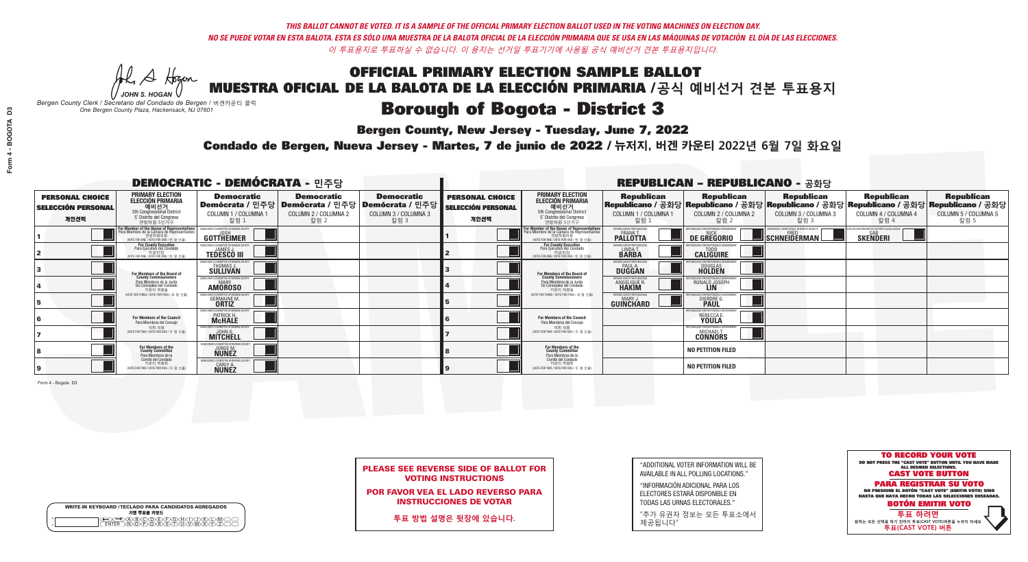**Bergen County, New Jersey - Tuesday, June 7, 2022** 

A Hogen *JOHN S. HOGAN*

|         | <b>WRITE-IN KEYBOARD /TECLADO PARA CANDIDATOS AGREGADOS</b><br>기명 투표용 키보드 |
|---------|---------------------------------------------------------------------------|
| ٥       | )(B)C)(D)(E)(F)(G)(H)(                                                    |
| $\circ$ | <u>፝ዀ፝</u> ፙዂጞጞዂ                                                          |

*Bergen County Clerk / Secretario del Condado de Bergen /* 버겐카운티 클럭 *One Bergen County Plaza, Hackensack, NJ 07601*



PLEASE SEE REVERSE SIDE OF BALLOT FOR VOTING INSTRUCTIONS

POR FAVOR VEA EL LADO REVERSO PARA INSTRUCCIONES DE VOTAR

**투표 방법 설명은 뒷장에 있습니다.**

| "ADDITIONAL VOTER INFORMATION WILL BE |
|---------------------------------------|
| AVAILABLE IN ALL POLLING LOCATIONS."  |

"INFORMACIÓN ADICIONAL PARA LOS ELECTORES ESTARÁ DISPONIBLE EN TODAS LAS URNAS ELECTORALES."

"추가 유권자 정보는 모든 투표소에서 제공됩니다"

Condado de Bergen, Nueva Jersey - Martes, 7 de junio de 2022 / 뉴저지, 버겐 카운티 2022년 6월 7일 화요일 *One Bergen County Plaza, Hackensack, NJ 07601*

|                                                             |                                                                                                                                               | <b>DEMOCRATIC - DEMÓCRATA - 민주당</b>                                       |                                                   |                                                                                                        | <b>REPUBLICAN - REPUBLICANO - 공화당</b>                       |                                                                                                                                   |                                                           |                                                       |                                            |                                                                                                                                                |                                                   |
|-------------------------------------------------------------|-----------------------------------------------------------------------------------------------------------------------------------------------|---------------------------------------------------------------------------|---------------------------------------------------|--------------------------------------------------------------------------------------------------------|-------------------------------------------------------------|-----------------------------------------------------------------------------------------------------------------------------------|-----------------------------------------------------------|-------------------------------------------------------|--------------------------------------------|------------------------------------------------------------------------------------------------------------------------------------------------|---------------------------------------------------|
| <b>PERSONAL CHOICE</b><br><b>SELECCIÓN PERSONAL</b><br>개인선택 | <b>PRIMARY ELECTION</b><br><b>ELECCIÓN PRIMARIA</b><br>예비선거<br>5th Congressional District<br>5° Distrito del Congreso<br>연방하워 5선거구            | <b>Democratic</b><br>COLUMN 1 / COLUMNA 1<br>칼럼 1                         | <b>Democratic</b><br>COLUMN 2 / COLUMNA 2<br>칼럼 2 | <b>Democratic</b><br>│Demócrata / 민주당│Demócrata / 민주당│Demócrata / 민주당┃<br>COLUMN 3 / COLUMNA 3<br>칼럼 3 | <b>PERSONAL CHOICE</b><br><b>SELECCIÓN PERSONAL</b><br>개인선택 | <b>PRIMARY ELECTION</b><br>ELECCIÓN PRIMARIA<br>5th Congressional District<br>5° Distrito del Congreso<br>연방하워 5선거구               | <b>Republican</b><br>COLUMN 1 / COLUMNA 1<br>칼럼 1         | <b>Republican</b><br>COLUMN 2 / COLUMNA 2<br>칼럼 2     | Republican<br>COLUMN 3 / COLUMNA 3<br>칼럼 3 | <b>Republican</b><br>Republicano / 공화당 Republicano / 공화당 Republicano / 공화당 Republicano / 공화당 Republicano / 공화당<br>COLUMN 4 / COLUMNA 4<br>칼럼 4 | <b>Republican</b><br>COLUMN 5 / COLUMNA 5<br>칼럼 5 |
|                                                             | For Member of the House of Representatives<br>Para Miembro de la Cámara de Representantes<br>연방하원의원<br>(VOTE FOR ONE / VOTE POR UNO / 한 명 선출) | <b>GOTTHEIMER</b>                                                         |                                                   |                                                                                                        |                                                             | For Member of the House of Representatives<br>Para Miembro de la Cámara de Representantes<br>VOTE FOR ONE / VOTE POR UNO / 한 명 선출 | ERGEN COUNTY REPUBLICA<br><b>PALLOTTA</b>                 | DE GREGORIO                                           | SCHNEIDERMAN                               | <b>SKENDERI</b>                                                                                                                                |                                                   |
|                                                             | For County Executive<br>Para Ejecutivo del Condado<br>NOTE FOR ONE / VOTE POR UNO / 한 명 선출)                                                   | JEMOCRATIC COMMITTEE OF BERGEN COUNTY<br><b>TEDESCO III</b>               |                                                   |                                                                                                        |                                                             | <b>For County Executive</b><br>Para Ejecutivo del Condado<br>WOTE FOR ONE / VOTE POR UNO / 한 명 선출                                 | BERGEN COUNTY REPUBLICAN<br>LINDAT.                       | <b>CALIGUIRE</b>                                      |                                            |                                                                                                                                                |                                                   |
|                                                             | For Members of the Board of<br>County Commissioners                                                                                           | MOCRATIC COMMITTEE OF BERGEN CO<br>THOMAS J.                              |                                                   |                                                                                                        |                                                             | For Members of the Board of<br>County Commissioners                                                                               | ERGEN COUNTY REPUBLICA<br><b>PAUL A.</b><br><b>DUGGAN</b> | <b>DOUGLAS</b>                                        |                                            |                                                                                                                                                |                                                   |
|                                                             | Para Miembros de la Junta<br>De Concejales del Condado<br>카운티 위원들                                                                             | MOCRATIC COMMITTEE OF BERGEN COUN<br><b>MARY</b><br><b>AMOROSO</b>        |                                                   |                                                                                                        |                                                             | Para Miembros de la Junta<br>De Concejales del Condado<br>카운티 위원들                                                                 | ERGEN COUNTY REPUBLICAN<br><b>ANGELIQUE R<br/>HAKIM</b>   | RONALD JOSEPH                                         |                                            |                                                                                                                                                |                                                   |
|                                                             | (VOTE FOR THREE / VOTE POR TRES / 세 명 선출)                                                                                                     | CRATIC COMMITTEE OF RERGEN COL<br><b>GERMAINE M.</b>                      |                                                   |                                                                                                        |                                                             | NOTE FOR THREE / VOTE POR TRES / 세 명 선출)                                                                                          | ERGEN COUNTY REPUBLICANS<br>MARY J<br>GUINCHARD           | <b>I ICANS FOR RESPONSIBLE</b><br><b>DIERDRE</b> O    |                                            |                                                                                                                                                |                                                   |
|                                                             | <b>For Members of the Council</b><br>Para Miembros del Conceio                                                                                | MOCRATIC COMMITTEE OF BERGEN COUNTY<br><b>PATRICK H.</b><br><b>McHALE</b> |                                                   |                                                                                                        |                                                             | For Members of the Council<br>Para Miembros del Conceio                                                                           |                                                           | I ICANS FOR RESPONSIBI E (<br>REBECCA E.              |                                            |                                                                                                                                                |                                                   |
|                                                             | 의회 의원<br>(VOTE FOR TWO / VOTE POR DOS / 두 명 선출)                                                                                               | <b>EMOCRATIC COMMITTEE OF BERGEN COUNTY</b><br><b>MITCHELL</b>            |                                                   |                                                                                                        |                                                             | 의회 의원<br>WOTE FOR TWO / VOTE POR DOS / 두 명 선출)                                                                                    |                                                           | PUBLICANS FOR RESPONSIBLE GOVERNMEN<br><b>CONNORS</b> |                                            |                                                                                                                                                |                                                   |
|                                                             | For Members of the<br>County Committee<br>Para Miembros de la<br>Comité del Condado                                                           | <b>IOCRATIC COMMITTEE OF BERGEN (</b><br><b>JORGE M.</b><br><b>NUNEZ</b>  |                                                   |                                                                                                        |                                                             | For Members of the<br>County Committee<br>Para Miembros de la<br>Comité del Condado                                               |                                                           | <b>NO PETITION FILED</b>                              |                                            |                                                                                                                                                |                                                   |
|                                                             | 카운티 위원회<br>(VOTE FOR TWO / VOTE POR DOS / 두 명 선출)                                                                                             | <b>ITIC COMMITTEE OF BERGEN O</b><br>CARLY A.<br>NUNEZ                    |                                                   |                                                                                                        |                                                             | 카운티 위원회<br>(VOTE FOR TWO / VOTE POR DOS / 두 명 선출)                                                                                 |                                                           | <b>NO PETITION FILED</b>                              |                                            |                                                                                                                                                |                                                   |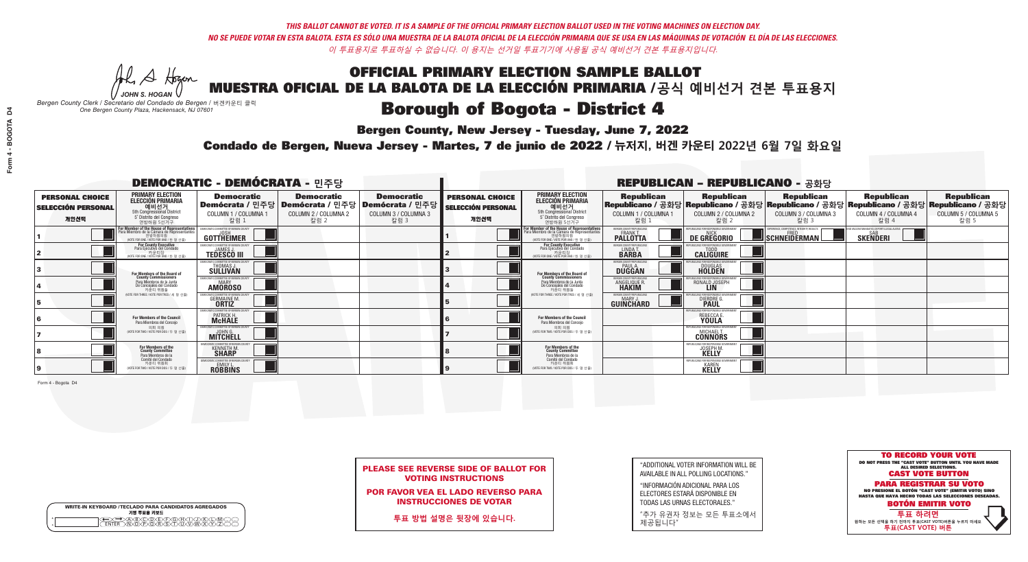**Bergen County, New Jersey - Tuesday, June 7, 2022** 

A Hogen *JOHN S. HOGAN*

|              | <b>WRITE-IN KEYBOARD /TECLADO PARA CANDIDATOS AGREGADOS</b><br>기명 투표용 키보드 |
|--------------|---------------------------------------------------------------------------|
| 0<br>$\circ$ | )®©®®®®®<br>b®®®®®©®®                                                     |

*Bergen County Clerk / Secretario del Condado de Bergen /* 버겐카운티 클럭 *One Bergen County Plaza, Hackensack, NJ 07601*



|  |                            | <b>PLEASE SEE REVERSE SIDE OF BALLOT FOR</b> |  |
|--|----------------------------|----------------------------------------------|--|
|  | <b>VOTING INSTRUCTIONS</b> |                                              |  |

POR FAVOR VEA EL LADO REVERSO PARA INSTRUCCIONES DE VOTAR

**투표 방법 설명은 뒷장에 있습니다.**

"ADDITIONAL VOTER INFORMATION WILL BE AVAILABLE IN ALL POLLING LOCATIONS."

"INFORMACIÓN ADICIONAL PARA LOS ELECTORES ESTARÁ DISPONIBLE EN TODAS LAS URNAS ELECTORALES."

"추가 유권자 정보는 모든 투표소에서 제공됩니다"

Condado de Bergen, Nueva Jersey - Martes, 7 de junio de 2022 / 뉴저지, 버겐 카운티 2022년 6월 7일 화요일 *One Bergen County Plaza, Hackensack, NJ 07601*

| <b>DEMOCRATIC - DEMÓCRATA - 민주당</b>                         |                                                                                                                                           |                                                                                                        |                                                   |                                                   | <b>REPUBLICAN - REPUBLICANO - 공화당</b>                       |                                                                                                                                   |                                                                      |                                                    |                                                                                                                                                 |                                                   |                                                   |
|-------------------------------------------------------------|-------------------------------------------------------------------------------------------------------------------------------------------|--------------------------------------------------------------------------------------------------------|---------------------------------------------------|---------------------------------------------------|-------------------------------------------------------------|-----------------------------------------------------------------------------------------------------------------------------------|----------------------------------------------------------------------|----------------------------------------------------|-------------------------------------------------------------------------------------------------------------------------------------------------|---------------------------------------------------|---------------------------------------------------|
| <b>PERSONAL CHOICE</b><br><b>SELECCIÓN PERSONAL</b><br>개인선택 | <b>PRIMARY ELECTION</b><br><b>ELECCIÓN PRIMARIA</b><br>예비선거<br>5th Congressional District<br>5° Distrito del Congreso<br>연방하원 5선거구        | <b>Democratic</b><br>│Demócrata / 민주당│Demócrata / 민주당│Demócrata / 민주당│<br>COLUMN 1 / COLUMNA 1<br>칼럼 : | <b>Democratic</b><br>COLUMN 2 / COLUMNA 2<br>칼럼 2 | <b>Democratic</b><br>COLUMN 3 / COLUMNA 3<br>칼럼 3 | <b>PERSONAL CHOICE</b><br><b>SELECCIÓN PERSONAL</b><br>개인선택 | <b>PRIMARY ELECTION</b><br>ELECCIÓN PRIMARIA<br>5th Congressional District<br>5° Distrito del Congreso<br>연방하원 5선거구               | <b>Republican</b><br>COLUMN 1 / COLUMNA 1<br>칼럼                      | <b>Republican</b><br>COLUMN 2 / COLUMNA 2<br>·칼럼 2 | <b>Republican</b><br> Republicano / 공화당 Republicano / 공화당 Republicano / 공화당 Republicano / 공화당 Republicano / 공화당<br>COLUMN 3 / COLUMNA 3<br>칼럼 3 | <b>Republican</b><br>COLUMN 4 / COLUMNA 4<br>칼럼 4 | <b>Republican</b><br>COLUMN 5 / COLUMNA 5<br>칼럼 5 |
|                                                             | or Member of the House of Representatives<br>ra Miembro de la Cámara de Representante<br>연방하원의원<br>(VOTE FOR ONE / VOTE POR UNO / 한 명 선출) | GOTTHEIMER                                                                                             |                                                   |                                                   |                                                             | For Member of the House of Representatives<br>Para Miembro de la Cámara de Representantes<br>WOTE FOR ONE / VOTE POR UNO / 한 명 선출 | ERGEN COUNTY REPUBLICAN<br>FRANK T.<br><b>PALLOTTA</b>               | DE GREGORIO                                        | SCHNEIDERMAN                                                                                                                                    | <b>SKENDERI</b>                                   |                                                   |
|                                                             | <b>For County Executive</b><br>Para Ejecutivo del Condado<br>가운티장<br>(VOTE FOR ONE / VOTE POR UNO / 한 명 선출)                               | EMOCRATIC COMMITTEE OF BEBGEN COUNT<br>JAMES J.<br><b>TEDESCO III</b>                                  |                                                   |                                                   |                                                             | For County Executive<br>Para Ejecutivo del Condado<br>WOTE FOR ONE / VOTE POR UNO / 한 명 선출                                        | BERGEN COUNTY REPUBLICAN<br>LINDA T.                                 | <b>CALIGUIRE</b>                                   |                                                                                                                                                 |                                                   |                                                   |
|                                                             | For Members of the Board of<br>County Commissioners                                                                                       | MOCRATIC COMMITTEE OF BERGEN COUNTY<br>THOMAS J.                                                       |                                                   |                                                   |                                                             | For Members of the Board of<br>County Commissioners                                                                               | ERGEN COUNTY REPUBLICAN<br><b>DUGGAN</b>                             | <b>DOUGLAS</b><br><b>HOLDEN</b>                    |                                                                                                                                                 |                                                   |                                                   |
|                                                             | Para Miembros de la Junta<br>De Concejales del Condado<br>카우티 위원들                                                                         | OCRATIC COMMITTEE OF BERGEN COUNTY<br><b>AMOROSO</b>                                                   |                                                   |                                                   |                                                             | Para Miembros de la Junta<br>De Concejales del Condado<br>카우티 위원들                                                                 | <b>FRGEN COUNTY REPUBLICAN</b><br><b>ANGELIQUE F</b><br><b>HAKIM</b> | RONALD JOSEPH                                      |                                                                                                                                                 |                                                   |                                                   |
|                                                             | NOTE FOR THREE / VOTE POR TRES / 세 명 선출                                                                                                   | TIC COMMITTEE OF BERGEN CI<br>GERMAINE M.<br><b>ORTIZ</b>                                              |                                                   |                                                   |                                                             | NOTE FOR THREE / VOTE POR TRES / 세 명 선출!                                                                                          | ERGEN COUNTY REPUBLICANS<br>MARY J<br>GUINCHARD                      | DIERDRE G                                          |                                                                                                                                                 |                                                   |                                                   |
|                                                             | For Members of the Council<br>Para Miembros del Conceio                                                                                   | CRATIC COMMITTEE OF BERGEN<br><b>PATRICK H.</b><br><b>MCHALE</b>                                       |                                                   |                                                   |                                                             | <b>For Members of the Council</b><br>Para Miembros del Conceio                                                                    |                                                                      | REBECCA E.                                         |                                                                                                                                                 |                                                   |                                                   |
|                                                             | 의회 의원<br>NOTE FOR TWO / VOTE POR DOS / 두 명 선출)                                                                                            | MOCRATIC COMMITTEE OF BERGEN COUNT<br><b>MITCHELL</b>                                                  |                                                   |                                                   |                                                             | 의회 의원<br>WOTE FOR TWO / VOTE POR DOS / 두 명 선출)                                                                                    |                                                                      | PUBLICANS FOR RESPONSIBLE GO<br><b>CONNORS</b>     |                                                                                                                                                 |                                                   |                                                   |
|                                                             | For Members of the<br>County Committee<br>Para Miembros de la                                                                             | OCRATIC COMMITTEE OF BERGEI<br><b>KENNETH M.</b>                                                       |                                                   |                                                   |                                                             | For Members of the<br>County Committee<br>Para Miembros de la<br>Comité del Condado                                               |                                                                      | <b>JOSEPH M</b><br><b>KELLY</b>                    |                                                                                                                                                 |                                                   |                                                   |
|                                                             | Comité del Condado<br>카운티 위원회<br>(VOTE FOR TWO / VOTE POR DOS / 두 명 선출)                                                                   | EMOCRATIC COMMITTEE OF BERGEN (<br><b>ROBBINS</b>                                                      |                                                   |                                                   |                                                             | 카운티 위원회<br>NOTE FOR TWO / VOTE POR DOS / 두 명 선출)                                                                                  |                                                                      | IEPUBLICANS FOR RESPONSIBLE<br><b>KAREN</b>        |                                                                                                                                                 |                                                   |                                                   |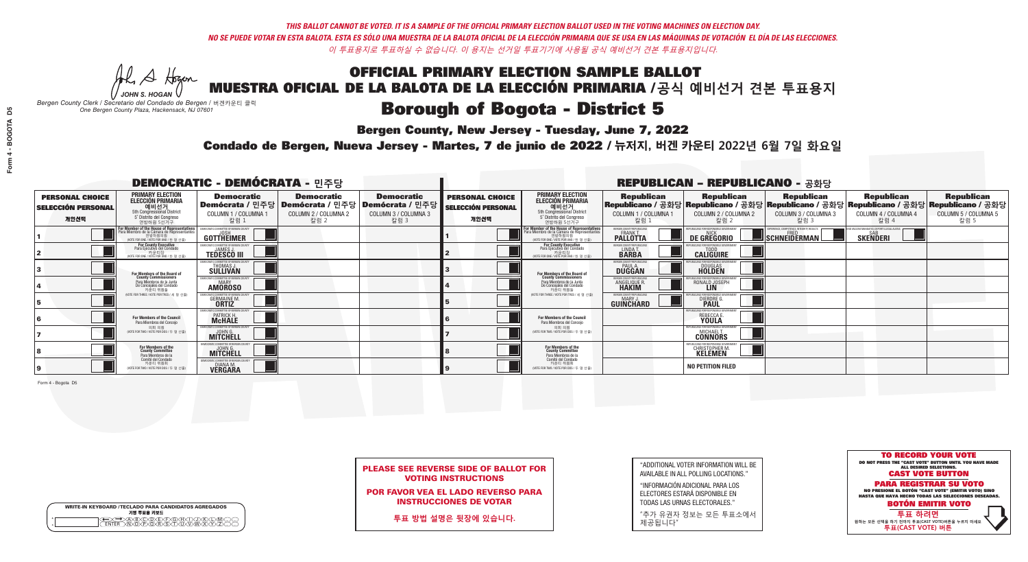**Bergen County, New Jersey - Tuesday, June 7, 2022** 

A Hogen *JOHN S. HOGAN*

|         | <b>WRITE-IN KEYBOARD /TECLADO PARA CANDIDATOS AGREGADOS</b><br>기명 투표용 키보드 |
|---------|---------------------------------------------------------------------------|
| ٥       | )(B)C)(D)(E)(F)(G)(H)(                                                    |
| $\circ$ | <u>፝ዀ፝</u> ፙዂጞቝ                                                           |

*Bergen County Clerk / Secretario del Condado de Bergen /* 버겐카운티 클럭 *One Bergen County Plaza, Hackensack, NJ 07601*



| <b>PLEASE SEE REVERSE SIDE OF BALLOT FOR</b> |  |
|----------------------------------------------|--|
| <b>VOTING INSTRUCTIONS</b>                   |  |

POR FAVOR VEA EL LADO REVERSO PARA INSTRUCCIONES DE VOTAR

**투표 방법 설명은 뒷장에 있습니다.**

"ADDITIONAL VOTER INFORMATION WILL BE AVAILABLE IN ALL POLLING LOCATIONS."

"INFORMACIÓN ADICIONAL PARA LOS ELECTORES ESTARÁ DISPONIBLE EN TODAS LAS URNAS ELECTORALES."

"추가 유권자 정보는 모든 투표소에서 제공됩니다"

Condado de Bergen, Nueva Jersey - Martes, 7 de junio de 2022 / 뉴저지, 버겐 카운티 2022년 6월 7일 화요일 *One Bergen County Plaza, Hackensack, NJ 07601*

| <b>DEMOCRATIC - DEMÓCRATA - 민주당</b>                         |                                                                                                                                               |                                                                           |                                                   |                                                                                                        | <b>REPUBLICAN - REPUBLICANO - 공화당</b>                       |                                                                                                                                   |                                                            |                                                   |                                                   |                                                                                                                                                |                                                   |
|-------------------------------------------------------------|-----------------------------------------------------------------------------------------------------------------------------------------------|---------------------------------------------------------------------------|---------------------------------------------------|--------------------------------------------------------------------------------------------------------|-------------------------------------------------------------|-----------------------------------------------------------------------------------------------------------------------------------|------------------------------------------------------------|---------------------------------------------------|---------------------------------------------------|------------------------------------------------------------------------------------------------------------------------------------------------|---------------------------------------------------|
| <b>PERSONAL CHOICE</b><br><b>SELECCIÓN PERSONAL</b><br>개인선택 | <b>PRIMARY ELECTION</b><br><b>ELECCIÓN PRIMARIA</b><br>예비선거<br><sup>5th Congressional District</sup><br>5° Distrito del Congreso<br>연방하워 5선거구 | <b>Democratic</b><br>COLUMN 1 / COLUMNA 1<br>칼럼 1                         | <b>Democratic</b><br>COLUMN 2 / COLUMNA 2<br>칼럼 2 | <b>Democratic</b><br>│Demócrata / 민주당│Demócrata / 민주당│Demócrata / 민주당┃<br>COLUMN 3 / COLUMNA 3<br>칼럼 3 | <b>PERSONAL CHOICE</b><br><b>SELECCIÓN PERSONAL</b><br>개인선택 | <b>PRIMARY ELECTION</b><br>ELECCIÓN PRIMARIA<br>5th Congressional District<br>5° Distrito del Congreso<br>연방하워 5선거구               | <b>Republican</b><br>COLUMN 1 / COLUMNA 1<br>칼럼 :          | <b>Republican</b><br>COLUMN 2 / COLUMNA 2<br>칼럼 2 | <b>Republican</b><br>COLUMN 3 / COLUMNA 3<br>칼럼 3 | <b>Republican</b><br>Republicano / 공화당 Republicano / 공화당 Republicano / 공화당 Republicano / 공화당 Republicano / 공화당<br>COLUMN 4 / COLUMNA 4<br>칼럼 4 | <b>Republican</b><br>COLUMN 5 / COLUMNA 5<br>칼럼 5 |
|                                                             | For Member of the House of Representatives<br>Para Miembro de la Cámara de Representantes<br>연방하원의원<br>(VOTE FOR ONE / VOTE POR UNO / 한 명 선출) | GOTTHEIMER                                                                |                                                   |                                                                                                        |                                                             | For Member of the House of Representatives<br>Para Miembro de la Cámara de Representantes<br>NOTE FOR ONE / VOTE POR UNO / 한 명 선출 | <b>FRGEN COUNTY REPUBLICAL</b><br><b>PALLOTTA</b>          | DE GREGORIO                                       | SCHNEIDERMAN                                      | <b>SKENDERI</b>                                                                                                                                |                                                   |
|                                                             | <b>For County Executive</b><br>Para Ejecutivo del Condado<br>가운티장<br>(VOTE FOR ONE / VOTE POR UNO / 한 명 선출)                                   | JEMOCRATIC COMMITTEE OF BERGEN COUNTY<br><b>TEDESCO III</b>               |                                                   |                                                                                                        |                                                             | <b>For County Executive</b><br>Para Ejecutivo del Condado<br>, 카운티장<br>(VOTE FOR ONE / VOTE POR UNO / 한 명 선출                      | BERGEN COUNTY REPUBLICAN<br>LINDA T.                       | <b>CALIGUIRE</b>                                  |                                                   |                                                                                                                                                |                                                   |
|                                                             | <b>For Members of the Board of<br/>County Commissioners</b>                                                                                   | MOCRATIC COMMITTEE OF BERGEN COUN:<br><b>THOMAS J.</b><br><b>SULLIVAN</b> |                                                   |                                                                                                        |                                                             | For Members of the Board of<br>County Commissioners                                                                               | ERGEN COUNTY REPUBLICAN<br><b>PAUL A.</b><br><b>DUGGAN</b> | DOUGLAS<br>HOLDEN                                 |                                                   |                                                                                                                                                |                                                   |
|                                                             | Para Miembros de la Junta<br>De Concejales del Condado<br>카운티 위원들                                                                             | MOCRATIC COMMITTEE OF BERGEN COUNT<br><b>MARY</b><br><b>AMOROSO</b>       |                                                   |                                                                                                        |                                                             | Para Miembros de la Junta<br>De Concejales del Condado<br>카운티 위원들                                                                 | ERGEN COUNTY REPUBLICAN<br><b>ANGELIQUE R<br/>HAKIM</b>    | RONALD JOSEPH                                     |                                                   |                                                                                                                                                |                                                   |
|                                                             | NOTE FOR THREE / VOTE POR TRES / 세 명 선출)                                                                                                      | RATIC COMMITTEE OF RERGEN COLIN<br><b>GERMAINE M.</b>                     |                                                   |                                                                                                        |                                                             | NOTE FOR THREE / VOTE POR TRES / 세 명 선출)                                                                                          | ERGEN COUNTY REPUBLICANS<br>GUINCHARD                      | <b>DIERDRE</b>                                    |                                                   |                                                                                                                                                |                                                   |
|                                                             | For Members of the Council<br>Para Miembros del Conceio                                                                                       | MOCRATIC COMMITTEE OF BERGEN COUNTY<br><b>PATRICK H.</b><br><b>McHALE</b> |                                                   |                                                                                                        |                                                             | For Members of the Council<br>Para Miembros del Conceio                                                                           |                                                            | REBECCA E.                                        |                                                   |                                                                                                                                                |                                                   |
|                                                             | 의회 의원<br>(VOTE FOR TWO / VOTE POR DOS / 두 명 선출)                                                                                               | EMOCRATIC COMMITTEE OF BERGEN COUNTY<br><b>MITCHELL</b>                   |                                                   |                                                                                                        |                                                             | 의회 의원<br>WOTE FOR TWO / VOTE POR DOS / 두 명 선출)                                                                                    |                                                            | PUBLICANS FOR RESPONSIBLE GO'<br><b>CONNORS</b>   |                                                   |                                                                                                                                                |                                                   |
|                                                             | For Members of the<br>County Committee<br>Para Miembros de la                                                                                 | IOCRATIC COMMITTEE OF RERGEN C<br><b>MITCHELL</b>                         |                                                   |                                                                                                        |                                                             | For Members of the<br>County Committee<br>Para Miembros de la<br>Comité del Condado                                               |                                                            | <b>CHRISTOPHER M.</b>                             |                                                   |                                                                                                                                                |                                                   |
|                                                             | Comité del Condado<br>카운티 위원회<br>(VOTE FOR TWO / VOTE POR DOS / 두 명 선출)                                                                       | CRATIC COMMITTEE OF RERGEN O<br><b>VERGARA</b>                            |                                                   |                                                                                                        |                                                             | 카운티 위원회<br>(VOTE FOR TWO / VOTE POR DOS / 두 명 선출)                                                                                 |                                                            | <b>NO PETITION FILED</b>                          |                                                   |                                                                                                                                                |                                                   |